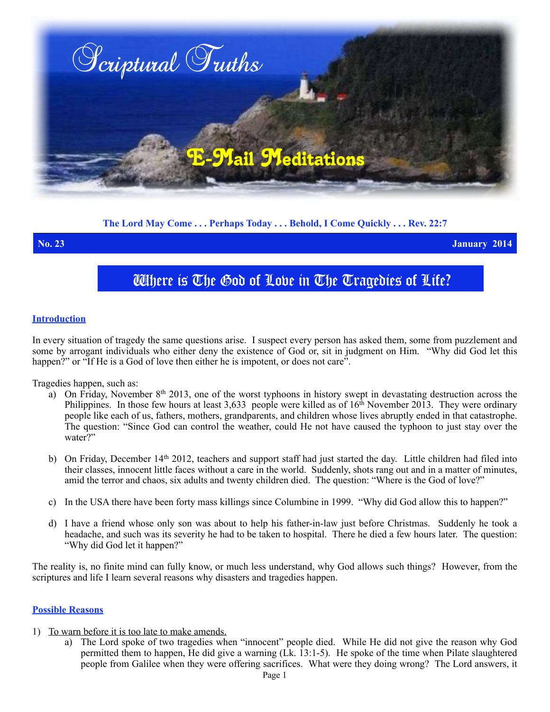

**The Lord May Come . . . Perhaps Today . . . Behold, I Come Quickly . . . Rev. 22:7**

**No. 23 January 2014**

# Where is The God of Love in The Tragedies of Life?

#### **Introduction**

In every situation of tragedy the same questions arise. I suspect every person has asked them, some from puzzlement and some by arrogant individuals who either deny the existence of God or, sit in judgment on Him. "Why did God let this happen?" or "If He is a God of love then either he is impotent, or does not care".

Tragedies happen, such as:

- a) On Friday, November  $8<sup>th</sup> 2013$ , one of the worst typhoons in history swept in devastating destruction across the Philippines. In those few hours at least 3,633 people were killed as of  $16<sup>th</sup>$  November 2013. They were ordinary people like each of us, fathers, mothers, grandparents, and children whose lives abruptly ended in that catastrophe. The question: "Since God can control the weather, could He not have caused the typhoon to just stay over the water?"
- b) On Friday, December 14<sup>th</sup> 2012, teachers and support staff had just started the day. Little children had filed into their classes, innocent little faces without a care in the world. Suddenly, shots rang out and in a matter of minutes, amid the terror and chaos, six adults and twenty children died. The question: "Where is the God of love?"
- c) In the USA there have been forty mass killings since Columbine in 1999. "Why did God allow this to happen?"
- d) I have a friend whose only son was about to help his father-in-law just before Christmas. Suddenly he took a headache, and such was its severity he had to be taken to hospital. There he died a few hours later. The question: "Why did God let it happen?"

The reality is, no finite mind can fully know, or much less understand, why God allows such things? However, from the scriptures and life I learn several reasons why disasters and tragedies happen.

#### **Possible Reasons**

- 1) To warn before it is too late to make amends.
	- a) The Lord spoke of two tragedies when "innocent" people died. While He did not give the reason why God permitted them to happen, He did give a warning ( $\overline{L}k$ , 13:1-5). He spoke of the time when Pilate slaughtered people from Galilee when they were offering sacrifices. What were they doing wrong? The Lord answers, it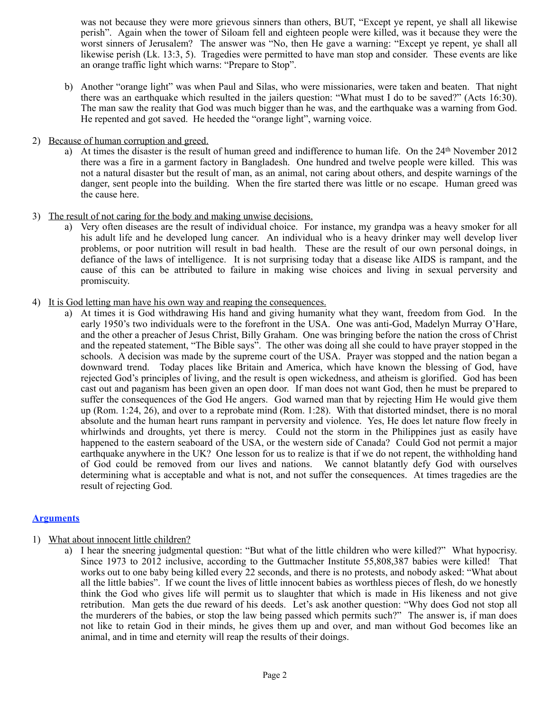was not because they were more grievous sinners than others, BUT, "Except ye repent, ye shall all likewise perish". Again when the tower of Siloam fell and eighteen people were killed, was it because they were the worst sinners of Jerusalem? The answer was "No, then He gave a warning: "Except ye repent, ye shall all likewise perish (Lk. 13:3, 5). Tragedies were permitted to have man stop and consider. These events are like an orange traffic light which warns: "Prepare to Stop".

- b) Another "orange light" was when Paul and Silas, who were missionaries, were taken and beaten. That night there was an earthquake which resulted in the jailers question: "What must I do to be saved?" (Acts 16:30). The man saw the reality that God was much bigger than he was, and the earthquake was a warning from God. He repented and got saved. He heeded the "orange light", warning voice.
- 2) Because of human corruption and greed.
	- a) At times the disaster is the result of human greed and indifference to human life. On the 24th November 2012 there was a fire in a garment factory in Bangladesh. One hundred and twelve people were killed. This was not a natural disaster but the result of man, as an animal, not caring about others, and despite warnings of the danger, sent people into the building. When the fire started there was little or no escape. Human greed was the cause here.
- 3) The result of not caring for the body and making unwise decisions.
	- a) Very often diseases are the result of individual choice. For instance, my grandpa was a heavy smoker for all his adult life and he developed lung cancer. An individual who is a heavy drinker may well develop liver problems, or poor nutrition will result in bad health. These are the result of our own personal doings, in defiance of the laws of intelligence. It is not surprising today that a disease like AIDS is rampant, and the cause of this can be attributed to failure in making wise choices and living in sexual perversity and promiscuity.
- 4) It is God letting man have his own way and reaping the consequences.
	- a) At times it is God withdrawing His hand and giving humanity what they want, freedom from God. In the early 1950's two individuals were to the forefront in the USA. One was anti-God, Madelyn Murray O'Hare, and the other a preacher of Jesus Christ, Billy Graham. One was bringing before the nation the cross of Christ and the repeated statement, "The Bible says". The other was doing all she could to have prayer stopped in the schools. A decision was made by the supreme court of the USA. Prayer was stopped and the nation began a downward trend. Today places like Britain and America, which have known the blessing of God, have rejected God's principles of living, and the result is open wickedness, and atheism is glorified. God has been cast out and paganism has been given an open door. If man does not want God, then he must be prepared to suffer the consequences of the God He angers. God warned man that by rejecting Him He would give them up (Rom. 1:24, 26), and over to a reprobate mind (Rom. 1:28). With that distorted mindset, there is no moral absolute and the human heart runs rampant in perversity and violence. Yes, He does let nature flow freely in whirlwinds and droughts, yet there is mercy. Could not the storm in the Philippines just as easily have happened to the eastern seaboard of the USA, or the western side of Canada? Could God not permit a major earthquake anywhere in the UK? One lesson for us to realize is that if we do not repent, the withholding hand of God could be removed from our lives and nations. We cannot blatantly defy God with ourselves determining what is acceptable and what is not, and not suffer the consequences. At times tragedies are the result of rejecting God.

## **Arguments**

- 1) What about innocent little children?
	- a) I hear the sneering judgmental question: "But what of the little children who were killed?" What hypocrisy. Since 1973 to 2012 inclusive, according to the Guttmacher Institute 55,808,387 babies were killed! That works out to one baby being killed every 22 seconds, and there is no protests, and nobody asked: "What about all the little babies". If we count the lives of little innocent babies as worthless pieces of flesh, do we honestly think the God who gives life will permit us to slaughter that which is made in His likeness and not give retribution. Man gets the due reward of his deeds. Let's ask another question: "Why does God not stop all the murderers of the babies, or stop the law being passed which permits such?" The answer is, if man does not like to retain God in their minds, he gives them up and over, and man without God becomes like an animal, and in time and eternity will reap the results of their doings.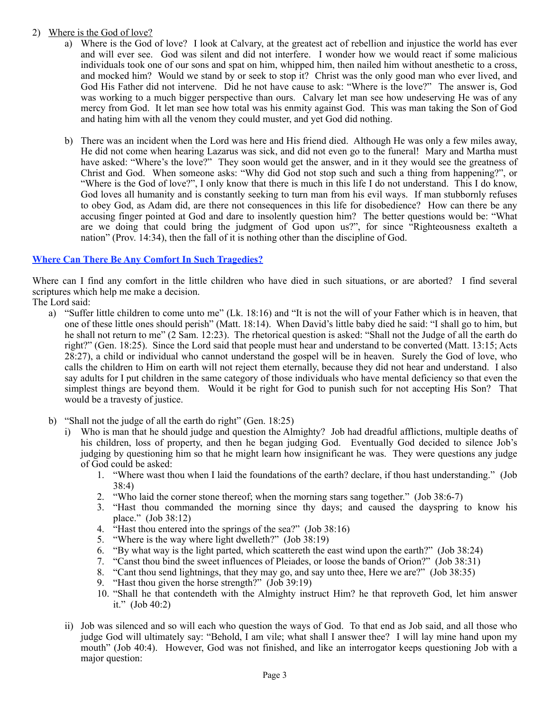# 2) Where is the God of love?

- a) Where is the God of love? I look at Calvary, at the greatest act of rebellion and injustice the world has ever and will ever see. God was silent and did not interfere. I wonder how we would react if some malicious individuals took one of our sons and spat on him, whipped him, then nailed him without anesthetic to a cross, and mocked him? Would we stand by or seek to stop it? Christ was the only good man who ever lived, and God His Father did not intervene. Did he not have cause to ask: "Where is the love?" The answer is, God was working to a much bigger perspective than ours. Calvary let man see how undeserving He was of any mercy from God. It let man see how total was his enmity against God. This was man taking the Son of God and hating him with all the venom they could muster, and yet God did nothing.
- b) There was an incident when the Lord was here and His friend died. Although He was only a few miles away, He did not come when hearing Lazarus was sick, and did not even go to the funeral! Mary and Martha must have asked: "Where's the love?" They soon would get the answer, and in it they would see the greatness of Christ and God. When someone asks: "Why did God not stop such and such a thing from happening?", or "Where is the God of love?", I only know that there is much in this life I do not understand. This I do know, God loves all humanity and is constantly seeking to turn man from his evil ways. If man stubbornly refuses to obey God, as Adam did, are there not consequences in this life for disobedience? How can there be any accusing finger pointed at God and dare to insolently question him? The better questions would be: "What are we doing that could bring the judgment of God upon us?", for since "Righteousness exalteth a nation" (Prov. 14:34), then the fall of it is nothing other than the discipline of God.

## **Where Can There Be Any Comfort In Such Tragedies?**

Where can I find any comfort in the little children who have died in such situations, or are aborted? I find several scriptures which help me make a decision.

The Lord said:

- a) "Suffer little children to come unto me" (Lk. 18:16) and "It is not the will of your Father which is in heaven, that one of these little ones should perish" (Matt. 18:14). When David's little baby died he said: "I shall go to him, but he shall not return to me" (2 Sam. 12:23). The rhetorical question is asked: "Shall not the Judge of all the earth do right?" (Gen. 18:25). Since the Lord said that people must hear and understand to be converted (Matt. 13:15; Acts 28:27), a child or individual who cannot understand the gospel will be in heaven. Surely the God of love, who calls the children to Him on earth will not reject them eternally, because they did not hear and understand. I also say adults for I put children in the same category of those individuals who have mental deficiency so that even the simplest things are beyond them. Would it be right for God to punish such for not accepting His Son? That would be a travesty of justice.
- b) "Shall not the judge of all the earth do right" (Gen. 18:25)
	- i) Who is man that he should judge and question the Almighty? Job had dreadful afflictions, multiple deaths of his children, loss of property, and then he began judging God. Eventually God decided to silence Job's judging by questioning him so that he might learn how insignificant he was. They were questions any judge of God could be asked:
		- 1. "Where wast thou when I laid the foundations of the earth? declare, if thou hast understanding." (Job 38:4)
		- 2. "Who laid the corner stone thereof; when the morning stars sang together." (Job 38:6-7)
		- 3. "Hast thou commanded the morning since thy days; and caused the dayspring to know his place." (Job 38:12)
		- 4. "Hast thou entered into the springs of the sea?" (Job 38:16)
		- 5. "Where is the way where light dwelleth?" (Job 38:19)
		- 6. "By what way is the light parted, which scattereth the east wind upon the earth?" (Job 38:24)
		- 7. "Canst thou bind the sweet influences of Pleiades, or loose the bands of Orion?" (Job 38:31)
		- 8. "Cant thou send lightnings, that they may go, and say unto thee, Here we are?" (Job 38:35)
		- 9. "Hast thou given the horse strength?" (Job 39:19)
		- 10. "Shall he that contendeth with the Almighty instruct Him? he that reproveth God, let him answer it."  $(Job 40:2)$
	- ii) Job was silenced and so will each who question the ways of God. To that end as Job said, and all those who judge God will ultimately say: "Behold, I am vile; what shall I answer thee? I will lay mine hand upon my mouth" (Job 40:4). However, God was not finished, and like an interrogator keeps questioning Job with a major question: